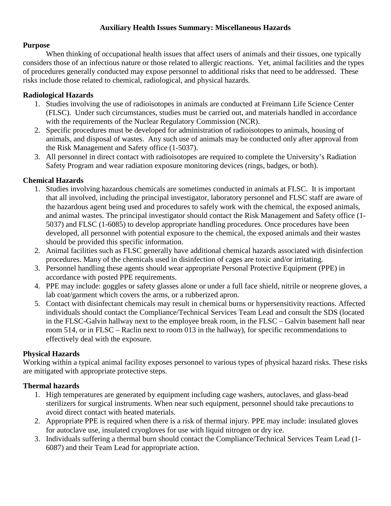#### **Auxiliary Health Issues Summary: Miscellaneous Hazards**

#### **Purpose**

When thinking of occupational health issues that affect users of animals and their tissues, one typically considers those of an infectious nature or those related to allergic reactions. Yet, animal facilities and the types of procedures generally conducted may expose personnel to additional risks that need to be addressed. These risks include those related to chemical, radiological, and physical hazards.

# **Radiological Hazards**

- 1. Studies involving the use of radioisotopes in animals are conducted at Freimann Life Science Center (FLSC). Under such circumstances, studies must be carried out, and materials handled in accordance with the requirements of the Nuclear Regulatory Commission (NCR).
- 2. Specific procedures must be developed for administration of radioisotopes to animals, housing of animals, and disposal of wastes. Any such use of animals may be conducted only after approval from the Risk Management and Safety office (1-5037).
- 3. All personnel in direct contact with radioisotopes are required to complete the University's Radiation Safety Program and wear radiation exposure monitoring devices (rings, badges, or both).

# **Chemical Hazards**

- 1. Studies involving hazardous chemicals are sometimes conducted in animals at FLSC. It is important that all involved, including the principal investigator, laboratory personnel and FLSC staff are aware of the hazardous agent being used and procedures to safely work with the chemical, the exposed animals, and animal wastes. The principal investigator should contact the Risk Management and Safety office (1- 5037) and FLSC (1-6085) to develop appropriate handling procedures. Once procedures have been developed, all personnel with potential exposure to the chemical, the exposed animals and their wastes should be provided this specific information.
- 2. Animal facilities such as FLSC generally have additional chemical hazards associated with disinfection procedures. Many of the chemicals used in disinfection of cages are toxic and/or irritating.
- 3. Personnel handling these agents should wear appropriate Personal Protective Equipment (PPE) in accordance with posted PPE requirements.
- 4. PPE may include: goggles or safety glasses alone or under a full face shield, nitrile or neoprene gloves, a lab coat/garment which covers the arms, or a rubberized apron.
- 5. Contact with disinfectant chemicals may result in chemical burns or hypersensitivity reactions. Affected individuals should contact the Compliance/Technical Services Team Lead and consult the SDS (located in the FLSC-Galvin hallway next to the employee break room, in the FLSC – Galvin basement hall near room 514, or in FLSC – Raclin next to room 013 in the hallway), for specific recommendations to effectively deal with the exposure.

# **Physical Hazards**

Working within a typical animal facility exposes personnel to various types of physical hazard risks. These risks are mitigated with appropriate protective steps.

# **Thermal hazards**

- 1. High temperatures are generated by equipment including cage washers, autoclaves, and glass-bead sterilizers for surgical instruments. When near such equipment, personnel should take precautions to avoid direct contact with heated materials.
- 2. Appropriate PPE is required when there is a risk of thermal injury. PPE may include: insulated gloves for autoclave use, insulated cryogloves for use with liquid nitrogen or dry ice.
- 3. Individuals suffering a thermal burn should contact the Compliance/Technical Services Team Lead (1- 6087) and their Team Lead for appropriate action.